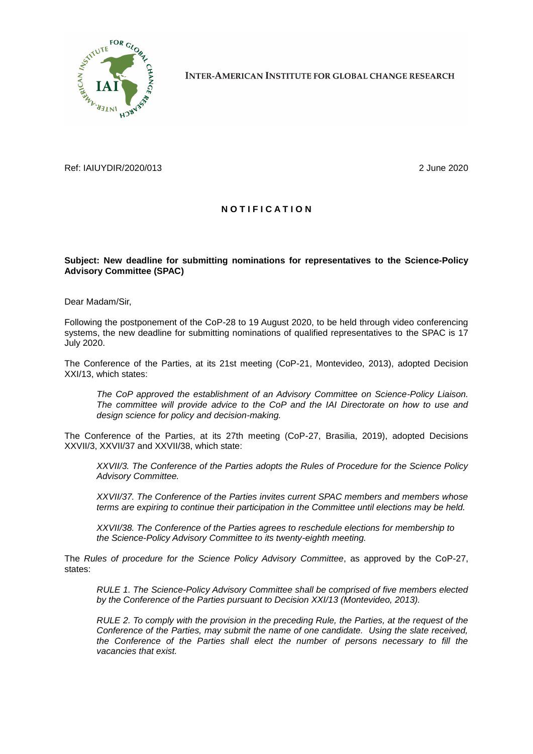

**INTER-AMERICAN INSTITUTE FOR GLOBAL CHANGE RESEARCH** 

Ref: IAIUYDIR/2020/013 2 June 2020

## **N O T I F I C A T I O N**

## **Subject: New deadline for submitting nominations for representatives to the Science-Policy Advisory Committee (SPAC)**

Dear Madam/Sir,

Following the postponement of the CoP-28 to 19 August 2020, to be held through video conferencing systems, the new deadline for submitting nominations of qualified representatives to the SPAC is 17 July 2020.

The Conference of the Parties, at its 21st meeting (CoP-21, Montevideo, 2013), adopted Decision XXI/13, which states:

*The CoP approved the establishment of an Advisory Committee on Science-Policy Liaison. The committee will provide advice to the CoP and the IAI Directorate on how to use and design science for policy and decision-making.*

The Conference of the Parties, at its 27th meeting (CoP-27, Brasilia, 2019), adopted Decisions XXVII/3, XXVII/37 and XXVII/38, which state:

*XXVII/3. The Conference of the Parties adopts the Rules of Procedure for the Science Policy Advisory Committee.*

*XXVII/37. The Conference of the Parties invites current SPAC members and members whose terms are expiring to continue their participation in the Committee until elections may be held.*

*XXVII/38. The Conference of the Parties agrees to reschedule elections for membership to the Science-Policy Advisory Committee to its twenty-eighth meeting.*

The *Rules of procedure for the Science Policy Advisory Committee*, as approved by the CoP-27, states:

*RULE 1. The Science-Policy Advisory Committee shall be comprised of five members elected by the Conference of the Parties pursuant to Decision XXI/13 (Montevideo, 2013).* 

*RULE 2. To comply with the provision in the preceding Rule, the Parties, at the request of the Conference of the Parties, may submit the name of one candidate. Using the slate received, the Conference of the Parties shall elect the number of persons necessary to fill the vacancies that exist.*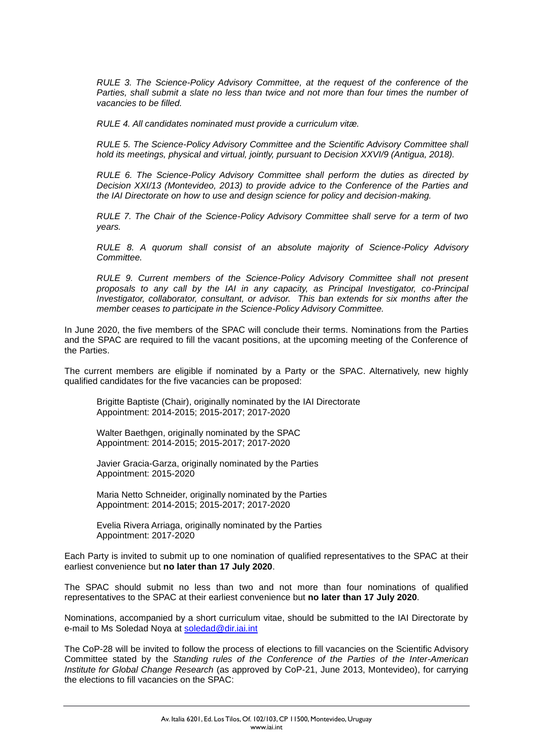*RULE 3. The Science-Policy Advisory Committee, at the request of the conference of the Parties, shall submit a slate no less than twice and not more than four times the number of vacancies to be filled.*

*RULE 4. All candidates nominated must provide a curriculum vitæ.*

*RULE 5. The Science-Policy Advisory Committee and the Scientific Advisory Committee shall hold its meetings, physical and virtual, jointly, pursuant to Decision XXVI/9 (Antigua, 2018).*

*RULE 6. The Science-Policy Advisory Committee shall perform the duties as directed by Decision XXI/13 (Montevideo, 2013) to provide advice to the Conference of the Parties and the IAI Directorate on how to use and design science for policy and decision-making.*

*RULE 7. The Chair of the Science-Policy Advisory Committee shall serve for a term of two years.*

*RULE 8. A quorum shall consist of an absolute majority of Science-Policy Advisory Committee.*

*RULE 9. Current members of the Science-Policy Advisory Committee shall not present proposals to any call by the IAI in any capacity, as Principal Investigator, co-Principal Investigator, collaborator, consultant, or advisor. This ban extends for six months after the member ceases to participate in the Science-Policy Advisory Committee.*

In June 2020, the five members of the SPAC will conclude their terms. Nominations from the Parties and the SPAC are required to fill the vacant positions, at the upcoming meeting of the Conference of the Parties.

The current members are eligible if nominated by a Party or the SPAC. Alternatively, new highly qualified candidates for the five vacancies can be proposed:

Brigitte Baptiste (Chair), originally nominated by the IAI Directorate Appointment: 2014-2015; 2015-2017; 2017-2020

Walter Baethgen, originally nominated by the SPAC Appointment: 2014-2015; 2015-2017; 2017-2020

Javier Gracia-Garza, originally nominated by the Parties Appointment: 2015-2020

Maria Netto Schneider, originally nominated by the Parties Appointment: 2014-2015; 2015-2017; 2017-2020

Evelia Rivera Arriaga, originally nominated by the Parties Appointment: 2017-2020

Each Party is invited to submit up to one nomination of qualified representatives to the SPAC at their earliest convenience but **no later than 17 July 2020**.

The SPAC should submit no less than two and not more than four nominations of qualified representatives to the SPAC at their earliest convenience but **no later than 17 July 2020**.

Nominations, accompanied by a short curriculum vitae, should be submitted to the IAI Directorate by e-mail to Ms Soledad Noya at [soledad@dir.iai.int](soledad@dir.iai.int%20)

The CoP-28 will be invited to follow the process of elections to fill vacancies on the Scientific Advisory Committee stated by the *Standing rules of the Conference of the Parties of the Inter-American Institute for Global Change Research* (as approved by CoP-21, June 2013, Montevideo), for carrying the elections to fill vacancies on the SPAC: